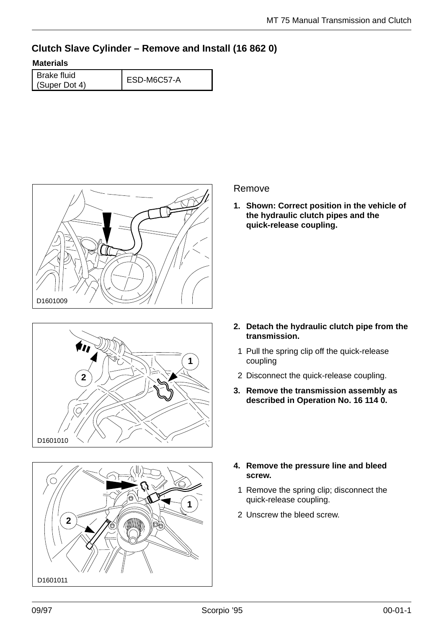## **Clutch Slave Cylinder – Remove and Install (16 862 0)**

## **Materials**

Brake fluid Brake lidid<br>(Super Dot 4) ESD-M6C57-A







## Remove

**1. Shown: Correct position in the vehicle of the hydraulic clutch pipes and the quick-release coupling.**

- **2. Detach the hydraulic clutch pipe from the transmission.**
	- 1 Pull the spring clip off the quick-release coupling
- 2 Disconnect the quick-release coupling.
- **3. Remove the transmission assembly as described in Operation No. 16 114 0.**
- **4. Remove the pressure line and bleed screw.**
	- 1 Remove the spring clip; disconnect the quick-release coupling.
	- 2 Unscrew the bleed screw.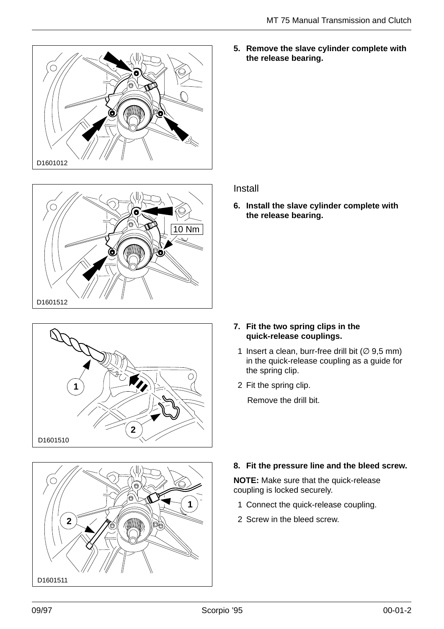







**5. Remove the slave cylinder complete with the release bearing.**

## Install

**6. Install the slave cylinder complete with the release bearing.**

- **7. Fit the two spring clips in the quick-release couplings.**
	- 1 Insert a clean, burr-free drill bit ( $\varnothing$  9,5 mm) in the quick-release coupling as a guide for the spring clip.
	- 2 Fit the spring clip.

Remove the drill bit.

**8. Fit the pressure line and the bleed screw.**

**NOTE:** Make sure that the quick-release coupling is locked securely.

- 1 Connect the quick-release coupling.
- 2 Screw in the bleed screw.